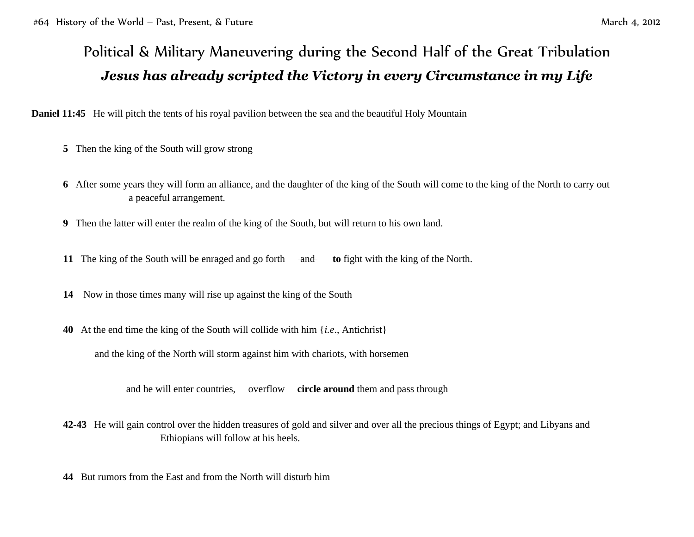## Political & Military Maneuvering during the Second Half of the Great Tribulation *Jesus has already scripted the Victory in every Circumstance in my Life*

**Daniel 11:45** He will pitch the tents of his royal pavilion between the sea and the beautiful Holy Mountain

- **5** Then the king of the South will grow strong
- **6** After some years they will form an alliance, and the daughter of the king of the South will come to the king of the North to carry out a peaceful arrangement.
- **9** Then the latter will enter the realm of the king of the South, but will return to his own land.
- **11** The king of the South will be enraged and go forth and **to** fight with the king of the North.
- **14** Now in those times many will rise up against the king of the South
- **40** At the end time the king of the South will collide with him {*i.e*., Antichrist}

and the king of the North will storm against him with chariots, with horsemen

and he will enter countries, overflow **circle around** them and pass through

- **42-43** He will gain control over the hidden treasures of gold and silver and over all the precious things of Egypt; and Libyans and Ethiopians will follow at his heels.
- **44** But rumors from the East and from the North will disturb him